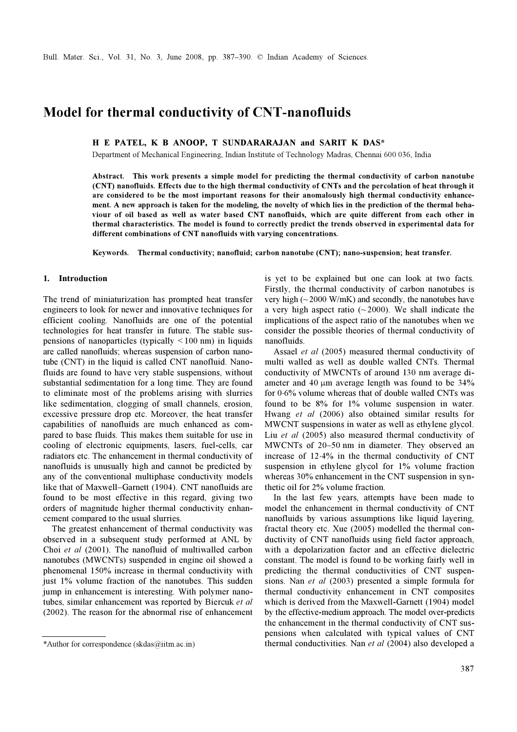# Model for thermal conductivity of CNT-nanofluids

## H E PATEL, K B ANOOP, T SUNDARARAJAN and SARIT K DAS\*

Department of Mechanical Engineering, Indian Institute of Technology Madras, Chennai 600 036, India

Abstract. This work presents a simple model for predicting the thermal conductivity of carbon nanotube (CNT) nanofluids. Effects due to the high thermal conductivity of CNTs and the percolation of heat through it are considered to be the most important reasons for their anomalously high thermal conductivity enhancement. A new approach is taken for the modeling, the novelty of which lies in the prediction of the thermal behaviour of oil based as well as water based CNT nanofluids, which are quite different from each other in thermal characteristics. The model is found to correctly predict the trends observed in experimental data for different combinations of CNT nanofluids with varying concentrations.

Keywords. Thermal conductivity; nanofluid; carbon nanotube (CNT); nano-suspension; heat transfer.

## 1. Introduction

The trend of miniaturization has prompted heat transfer engineers to look for newer and innovative techniques for efficient cooling. Nanofluids are one of the potential technologies for heat transfer in future. The stable suspensions of nanoparticles (typically  $\leq 100$  nm) in liquids are called nanofluids; whereas suspension of carbon nanotube (CNT) in the liquid is called CNT nanofluid. Nanofluids are found to have very stable suspensions, without substantial sedimentation for a long time. They are found to eliminate most of the problems arising with slurries like sedimentation, clogging of small channels, erosion, excessive pressure drop etc. Moreover, the heat transfer capabilities of nanofluids are much enhanced as compared to base fluids. This makes them suitable for use in cooling of electronic equipments, lasers, fuel-cells, car radiators etc. The enhancement in thermal conductivity of nanofluids is unusually high and cannot be predicted by any of the conventional multiphase conductivity models like that of Maxwell–Garnett (1904). CNT nanofluids are found to be most effective in this regard, giving two orders of magnitude higher thermal conductivity enhancement compared to the usual slurries.

 The greatest enhancement of thermal conductivity was observed in a subsequent study performed at ANL by Choi et al (2001). The nanofluid of multiwalled carbon nanotubes (MWCNTs) suspended in engine oil showed a phenomenal 150% increase in thermal conductivity with just 1% volume fraction of the nanotubes. This sudden jump in enhancement is interesting. With polymer nanotubes, similar enhancement was reported by Biercuk et al (2002). The reason for the abnormal rise of enhancement is yet to be explained but one can look at two facts. Firstly, the thermal conductivity of carbon nanotubes is very high  $\sim$  2000 W/mK) and secondly, the nanotubes have a very high aspect ratio  $(\sim 2000)$ . We shall indicate the implications of the aspect ratio of the nanotubes when we consider the possible theories of thermal conductivity of nanofluids.

 Assael et al (2005) measured thermal conductivity of multi walled as well as double walled CNTs. Thermal conductivity of MWCNTs of around 130 nm average diameter and 40 μm average length was found to be 34% for 0⋅6% volume whereas that of double walled CNTs was found to be 8% for 1% volume suspension in water. Hwang et al (2006) also obtained similar results for MWCNT suspensions in water as well as ethylene glycol. Liu et al (2005) also measured thermal conductivity of MWCNTs of 20–50 nm in diameter. They observed an increase of 12⋅4% in the thermal conductivity of CNT suspension in ethylene glycol for 1% volume fraction whereas 30% enhancement in the CNT suspension in synthetic oil for 2% volume fraction.

 In the last few years, attempts have been made to model the enhancement in thermal conductivity of CNT nanofluids by various assumptions like liquid layering, fractal theory etc. Xue (2005) modelled the thermal conductivity of CNT nanofluids using field factor approach, with a depolarization factor and an effective dielectric constant. The model is found to be working fairly well in predicting the thermal conductivities of CNT suspensions. Nan et al (2003) presented a simple formula for thermal conductivity enhancement in CNT composites which is derived from the Maxwell-Garnett (1904) model by the effective-medium approach. The model over-predicts the enhancement in the thermal conductivity of CNT suspensions when calculated with typical values of CNT \*Author for correspondence (skdas@iitm.ac.in) thermal conductivities. Nan et al (2004) also developed a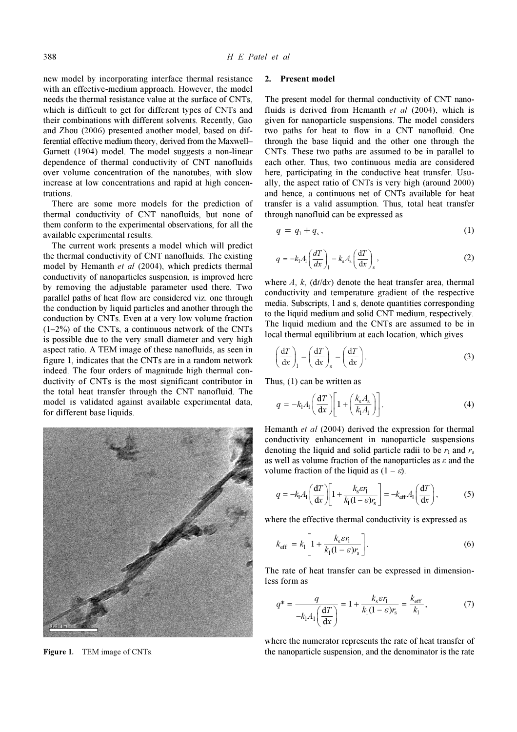new model by incorporating interface thermal resistance with an effective-medium approach. However, the model needs the thermal resistance value at the surface of CNTs, which is difficult to get for different types of CNTs and their combinations with different solvents. Recently, Gao and Zhou (2006) presented another model, based on differential effective medium theory, derived from the Maxwell– Garnett (1904) model. The model suggests a non-linear dependence of thermal conductivity of CNT nanofluids over volume concentration of the nanotubes, with slow increase at low concentrations and rapid at high concentrations.

 There are some more models for the prediction of thermal conductivity of CNT nanofluids, but none of them conform to the experimental observations, for all the available experimental results.

 The current work presents a model which will predict the thermal conductivity of CNT nanofluids. The existing model by Hemanth et al (2004), which predicts thermal conductivity of nanoparticles suspension, is improved here by removing the adjustable parameter used there. Two parallel paths of heat flow are considered viz. one through the conduction by liquid particles and another through the conduction by CNTs. Even at a very low volume fraction  $(1-2\%)$  of the CNTs, a continuous network of the CNTs is possible due to the very small diameter and very high aspect ratio. A TEM image of these nanofluids, as seen in figure 1, indicates that the CNTs are in a random network indeed. The four orders of magnitude high thermal conductivity of CNTs is the most significant contributor in the total heat transfer through the CNT nanofluid. The model is validated against available experimental data, for different base liquids.



Figure 1. TEM image of CNTs.

## 2. Present model

The present model for thermal conductivity of CNT nanofluids is derived from Hemanth et al (2004), which is given for nanoparticle suspensions. The model considers two paths for heat to flow in a CNT nanofluid. One through the base liquid and the other one through the CNTs. These two paths are assumed to be in parallel to each other. Thus, two continuous media are considered here, participating in the conductive heat transfer. Usually, the aspect ratio of CNTs is very high (around 2000) and hence, a continuous net of CNTs available for heat transfer is a valid assumption. Thus, total heat transfer through nanofluid can be expressed as

$$
q = q_1 + q_s, \tag{1}
$$

$$
q = -k_1 A_1 \left(\frac{dT}{dx}\right)_1 - k_s A_s \left(\frac{dT}{dx}\right)_s,
$$
\n(2)

where  $A$ ,  $k$ , (dt/dx) denote the heat transfer area, thermal conductivity and temperature gradient of the respective media. Subscripts, l and s, denote quantities corresponding to the liquid medium and solid CNT medium, respectively. The liquid medium and the CNTs are assumed to be in local thermal equilibrium at each location, which gives

$$
\left(\frac{\mathrm{d}T}{\mathrm{d}x}\right)_1 = \left(\frac{\mathrm{d}T}{\mathrm{d}x}\right)_s = \left(\frac{\mathrm{d}T}{\mathrm{d}x}\right). \tag{3}
$$

Thus, (1) can be written as

$$
q = -k_1 A_1 \left(\frac{\mathbf{d}T}{\mathbf{d}x}\right) \left[1 + \left(\frac{k_s A_s}{k_1 A_1}\right)\right].
$$
 (4)

Hemanth et al (2004) derived the expression for thermal conductivity enhancement in nanoparticle suspensions denoting the liquid and solid particle radii to be  $r_1$  and  $r_s$ as well as volume fraction of the nanoparticles as  $\varepsilon$  and the volume fraction of the liquid as  $(1 - \varepsilon)$ .

$$
q = -k_1 A_1 \left(\frac{\mathrm{d}T}{\mathrm{d}x}\right) \left[1 + \frac{k_\mathrm{s} \varepsilon r_1}{k_1 (1 - \varepsilon) r_\mathrm{s}}\right] = -k_\mathrm{eff} A_1 \left(\frac{\mathrm{d}T}{\mathrm{d}x}\right),\tag{5}
$$

where the effective thermal conductivity is expressed as

$$
k_{\text{eff}} = k_1 \left[ 1 + \frac{k_{\text{s}} \varepsilon r_1}{k_1 (1 - \varepsilon) r_{\text{s}}} \right].
$$
 (6)

The rate of heat transfer can be expressed in dimensionless form as

$$
q^* = \frac{q}{-k_1 A_1 \left(\frac{\mathbf{d}T}{\mathbf{d}x}\right)} = 1 + \frac{k_s \varepsilon r_1}{k_1 (1 - \varepsilon) r_s} = \frac{k_{\text{eff}}}{k_1},\tag{7}
$$

where the numerator represents the rate of heat transfer of the nanoparticle suspension, and the denominator is the rate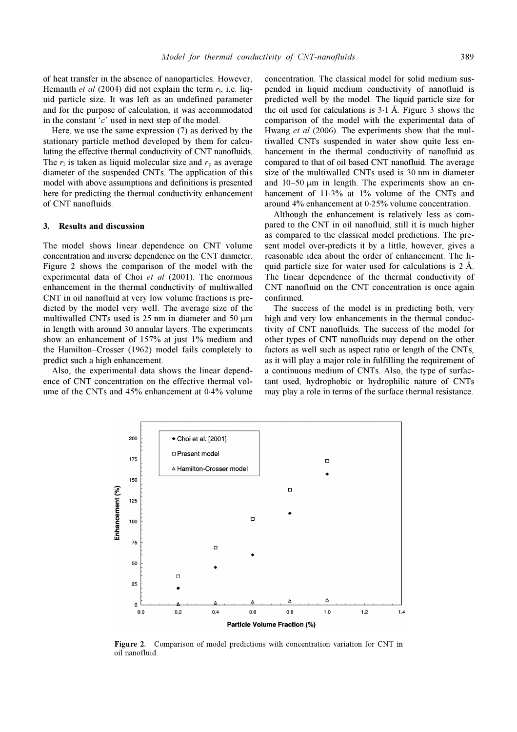of heat transfer in the absence of nanoparticles. However, Hemanth *et al* (2004) did not explain the term  $r<sub>l</sub>$ , i.e. liquid particle size. It was left as an undefined parameter and for the purpose of calculation, it was accommodated in the constant  $\mathcal{C}'$  used in next step of the model.

 Here, we use the same expression (7) as derived by the stationary particle method developed by them for calculating the effective thermal conductivity of CNT nanofluids. The  $r_1$  is taken as liquid molecular size and  $r_p$  as average diameter of the suspended CNTs. The application of this model with above assumptions and definitions is presented here for predicting the thermal conductivity enhancement of CNT nanofluids.

## 3. Results and discussion

The model shows linear dependence on CNT volume concentration and inverse dependence on the CNT diameter. Figure 2 shows the comparison of the model with the experimental data of Choi et al (2001). The enormous enhancement in the thermal conductivity of multiwalled CNT in oil nanofluid at very low volume fractions is predicted by the model very well. The average size of the multiwalled CNTs used is 25 nm in diameter and 50 μm in length with around 30 annular layers. The experiments show an enhancement of 157% at just 1% medium and the Hamilton–Crosser (1962) model fails completely to predict such a high enhancement.

 Also, the experimental data shows the linear dependence of CNT concentration on the effective thermal volume of the CNTs and 45% enhancement at 0⋅4% volume concentration. The classical model for solid medium suspended in liquid medium conductivity of nanofluid is predicted well by the model. The liquid particle size for the oil used for calculations is  $3·1$  Å. Figure 3 shows the comparison of the model with the experimental data of Hwang et al (2006). The experiments show that the multiwalled CNTs suspended in water show quite less enhancement in the thermal conductivity of nanofluid as compared to that of oil based CNT nanofluid. The average size of the multiwalled CNTs used is 30 nm in diameter and  $10-50 \mu m$  in length. The experiments show an enhancement of 11⋅3% at 1% volume of the CNTs and around 4% enhancement at 0⋅25% volume concentration.

 Although the enhancement is relatively less as compared to the CNT in oil nanofluid, still it is much higher as compared to the classical model predictions. The present model over-predicts it by a little, however, gives a reasonable idea about the order of enhancement. The liquid particle size for water used for calculations is  $2 \text{ Å}$ . The linear dependence of the thermal conductivity of CNT nanofluid on the CNT concentration is once again confirmed.

 The success of the model is in predicting both, very high and very low enhancements in the thermal conductivity of CNT nanofluids. The success of the model for other types of CNT nanofluids may depend on the other factors as well such as aspect ratio or length of the CNTs, as it will play a major role in fulfilling the requirement of a continuous medium of CNTs. Also, the type of surfactant used, hydrophobic or hydrophilic nature of CNTs may play a role in terms of the surface thermal resistance.



Figure 2. Comparison of model predictions with concentration variation for CNT in oil nanofluid.